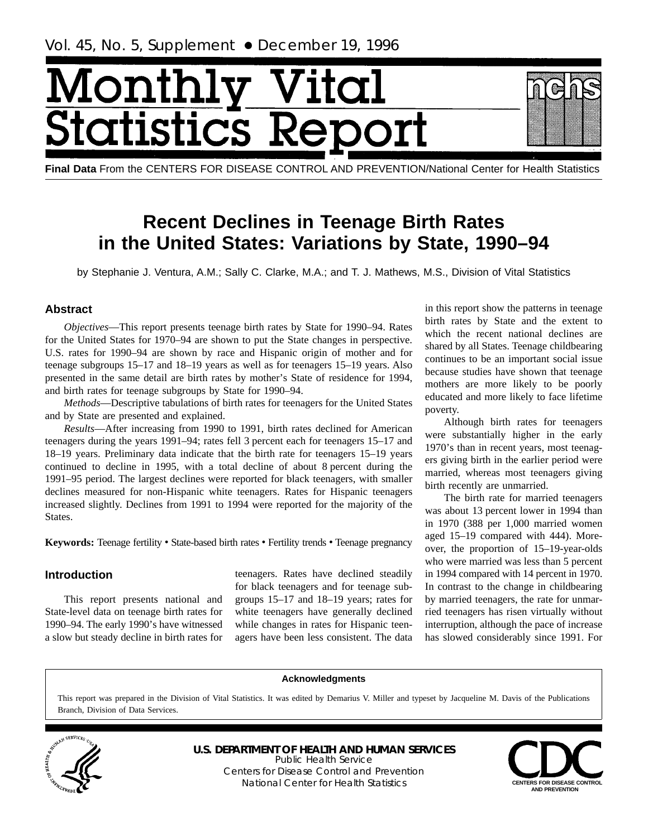# <span id="page-0-0"></span>Month tics F tatist

**Final Data** From the CENTERS FOR DISEASE CONTROL AND PREVENTION/National Center for Health Statistics

# **Recent Declines in Teenage Birth Rates in the United States: Variations by State, 1990–94**

by Stephanie J. Ventura, A.M.; Sally C. Clarke, M.A.; and T. J. Mathews, M.S., Division of Vital Statistics

# **Abstract**

*Objectives*—This report presents teenage birth rates by State for 1990–94. Rates for the United States for 1970–94 are shown to put the State changes in perspective. U.S. rates for 1990–94 are shown by race and Hispanic origin of mother and for teenage subgroups 15–17 and 18–19 years as well as for teenagers 15–19 years. Also presented in the same detail are birth rates by mother's State of residence for 1994, and birth rates for teenage subgroups by State for 1990–94.

*Methods*—Descriptive tabulations of birth rates for teenagers for the United States and by State are presented and explained.

*Results*—After increasing from 1990 to 1991, birth rates declined for American teenagers during the years 1991–94; rates fell 3 percent each for teenagers 15–17 and 18–19 years. Preliminary data indicate that the birth rate for teenagers 15–19 years continued to decline in 1995, with a total decline of about 8 percent during the 1991–95 period. The largest declines were reported for black teenagers, with smaller declines measured for non-Hispanic white teenagers. Rates for Hispanic teenagers increased slightly. Declines from 1991 to 1994 were reported for the majority of the States.

**Keywords:** Teenage fertility • State-based birth rates • Fertility trends • Teenage pregnancy

# **Introduction**

This report presents national and State-level data on teenage birth rates for 1990–94. The early 1990's have witnessed a slow but steady decline in birth rates for teenagers. Rates have declined steadily for black teenagers and for teenage subgroups 15–17 and 18–19 years; rates for white teenagers have generally declined while changes in rates for Hispanic teenagers have been less consistent. The data

in this report show the patterns in teenage birth rates by State and the extent to which the recent national declines are shared by all States. Teenage childbearing continues to be an important social issue because studies have shown that teenage mothers are more likely to be poorly educated and more likely to face lifetime poverty.

Although birth rates for teenagers were substantially higher in the early 1970's than in recent years, most teenagers giving birth in the earlier period were married, whereas most teenagers giving birth recently are unmarried.

The birth rate for married teenagers was about 13 percent lower in 1994 than in 1970 (388 per 1,000 married women aged 15–19 compared with 444). Moreover, the proportion of 15–19-year-olds who were married was less than 5 percent in 1994 compared with 14 percent in 1970. In contrast to the change in childbearing by married teenagers, the rate for unmarried teenagers has risen virtually without interruption, although the pace of increase has slowed considerably since 1991. For

#### **Acknowledgments**

This report was prepared in the Division of Vital Statistics. It was edited by Demarius V. Miller and typeset by Jacqueline M. Davis of the Publications Branch, Division of Data Services.



**U.S. DEPARTMENT OF HEALTH AND HUMAN SERVICES** Public Health Service Centers for Disease Control and Prevention National Center for Health Statistics **CENTERS FOR DISEASE CONTROL** 

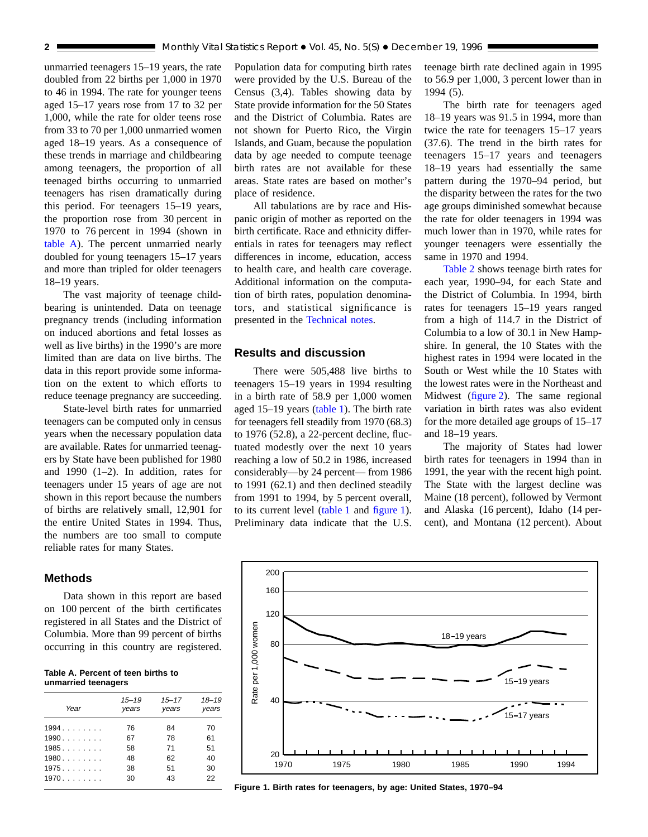<span id="page-1-0"></span>unmarried teenagers 15–19 years, the rate doubled from 22 births per 1,000 in 1970 to 46 in 1994. The rate for younger teens aged 15–17 years rose from 17 to 32 per 1,000, while the rate for older teens rose from 33 to 70 per 1,000 unmarried women aged 18–19 years. As a consequence of these trends in marriage and childbearing among teenagers, the proportion of all teenaged births occurring to unmarried teenagers has risen dramatically during this period. For teenagers 15–19 years, the proportion rose from 30 percent in 1970 to 76 percent in 1994 (shown in table A). The percent unmarried nearly doubled for young teenagers 15–17 years and more than tripled for older teenagers 18–19 years.

The vast majority of teenage childbearing is unintended. Data on teenage pregnancy trends (including information on induced abortions and fetal losses as well as live births) in the 1990's are more limited than are data on live births. The data in this report provide some information on the extent to which efforts to reduce teenage pregnancy are succeeding.

State-level birth rates for unmarried teenagers can be computed only in census years when the necessary population data are available. Rates for unmarried teenagers by State have been published for 1980 and 1990 (1–2). In addition, rates for teenagers under 15 years of age are not shown in this report because the numbers of births are relatively small, 12,901 for the entire United States in 1994. Thus, the numbers are too small to compute reliable rates for many States.

#### **Methods**

Data shown in this report are based on 100 percent of the birth certificates registered in all States and the District of Columbia. More than 99 percent of births occurring in this country are registered.

| Table A. Percent of teen births to |  |  |
|------------------------------------|--|--|
| unmarried teenagers                |  |  |

| Year | $15 - 19$<br>years | $15 - 17$<br>years | $18 - 19$<br>years |
|------|--------------------|--------------------|--------------------|
| 1994 | 76                 | 84                 | 70                 |
| 1990 | 67                 | 78                 | 61                 |
| 1985 | 58                 | 71                 | 51                 |
| 1980 | 48                 | 62                 | 40                 |
| 1975 | 38                 | 51                 | 30                 |
| 1970 | 30                 | 43                 | 22                 |

Population data for computing birth rates were provided by the U.S. Bureau of the Census (3,4). Tables showing data by State provide information for the 50 States and the District of Columbia. Rates are not shown for Puerto Rico, the Virgin Islands, and Guam, because the population data by age needed to compute teenage birth rates are not available for these areas. State rates are based on mother's place of residence.

All tabulations are by race and Hispanic origin of mother as reported on the birth certificate. Race and ethnicity differentials in rates for teenagers may reflect differences in income, education, access to health care, and health care coverage. Additional information on the computation of birth rates, population denominators, and statistical significance is presented in the [Technical notes.](#page-11-0)

#### **Results and discussion**

There were 505,488 live births to teenagers 15–19 years in 1994 resulting in a birth rate of 58.9 per 1,000 women aged 15–19 years [\(table 1\)](#page-6-0). The birth rate for teenagers fell steadily from 1970 (68.3) to 1976 (52.8), a 22-percent decline, fluctuated modestly over the next 10 years reaching a low of 50.2 in 1986, increased considerably—by 24 percent— from 1986 to 1991 (62.1) and then declined steadily from 1991 to 1994, by 5 percent overall, to its current level [\(table 1](#page-6-0) and figure 1). Preliminary data indicate that the U.S.

teenage birth rate declined again in 1995 to 56.9 per 1,000, 3 percent lower than in 1994 (5).

The birth rate for teenagers aged 18–19 years was 91.5 in 1994, more than twice the rate for teenagers 15–17 years (37.6). The trend in the birth rates for teenagers 15–17 years and teenagers 18–19 years had essentially the same pattern during the 1970–94 period, but the disparity between the rates for the two age groups diminished somewhat because the rate for older teenagers in 1994 was much lower than in 1970, while rates for younger teenagers were essentially the same in 1970 and 1994.

[Table 2](#page-7-0) shows teenage birth rates for each year, 1990–94, for each State and the District of Columbia. In 1994, birth rates for teenagers 15–19 years ranged from a high of 114.7 in the District of Columbia to a low of 30.1 in New Hampshire. In general, the 10 States with the highest rates in 1994 were located in the South or West while the 10 States with the lowest rates were in the Northeast and Midwest [\(figure 2\)](#page-2-0). The same regional variation in birth rates was also evident for the more detailed age groups of 15–17 and 18–19 years.

The majority of States had lower birth rates for teenagers in 1994 than in 1991, the year with the recent high point. The State with the largest decline was Maine (18 percent), followed by Vermont and Alaska (16 percent), Idaho (14 percent), and Montana (12 percent). About



**Figure 1. Birth rates for teenagers, by age: United States, 1970–94**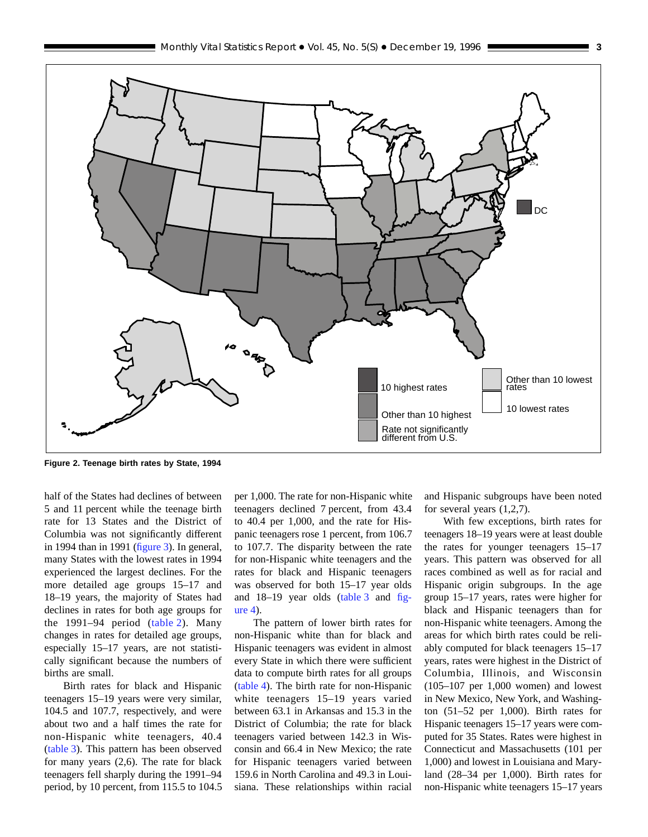<span id="page-2-0"></span>

**Figure 2. Teenage birth rates by State, 1994**

half of the States had declines of between 5 and 11 percent while the teenage birth rate for 13 States and the District of Columbia was not significantly different in 1994 than in 1991 [\(figure 3\)](#page-3-0). In general, many States with the lowest rates in 1994 experienced the largest declines. For the more detailed age groups 15–17 and 18–19 years, the majority of States had declines in rates for both age groups for the 1991–94 period [\(table 2\)](#page-7-0). Many changes in rates for detailed age groups, especially 15–17 years, are not statistically significant because the numbers of births are small.

Birth rates for black and Hispanic teenagers 15–19 years were very similar, 104.5 and 107.7, respectively, and were about two and a half times the rate for non-Hispanic white teenagers, 40.4 [\(table 3\)](#page-8-0). This pattern has been observed for many years (2,6). The rate for black teenagers fell sharply during the 1991–94 period, by 10 percent, from 115.5 to 104.5 per 1,000. The rate for non-Hispanic white teenagers declined 7 percent, from 43.4 to 40.4 per 1,000, and the rate for Hispanic teenagers rose 1 percent, from 106.7 to 107.7. The disparity between the rate for non-Hispanic white teenagers and the rates for black and Hispanic teenagers was observed for both 15–17 year olds and 18–19 year olds [\(table 3](#page-8-0) and [fig](#page-3-0)[ure 4\)](#page-3-0).

The pattern of lower birth rates for non-Hispanic white than for black and Hispanic teenagers was evident in almost every State in which there were sufficient data to compute birth rates for all groups [\(table 4\)](#page-9-0). The birth rate for non-Hispanic white teenagers 15–19 years varied between 63.1 in Arkansas and 15.3 in the District of Columbia; the rate for black teenagers varied between 142.3 in Wisconsin and 66.4 in New Mexico; the rate for Hispanic teenagers varied between 159.6 in North Carolina and 49.3 in Louisiana. These relationships within racial and Hispanic subgroups have been noted for several years (1,2,7).

With few exceptions, birth rates for teenagers 18–19 years were at least double the rates for younger teenagers 15–17 years. This pattern was observed for all races combined as well as for racial and Hispanic origin subgroups. In the age group 15–17 years, rates were higher for black and Hispanic teenagers than for non-Hispanic white teenagers. Among the areas for which birth rates could be reliably computed for black teenagers 15–17 years, rates were highest in the District of Columbia, Illinois, and Wisconsin (105–107 per 1,000 women) and lowest in New Mexico, New York, and Washington (51–52 per 1,000). Birth rates for Hispanic teenagers 15–17 years were computed for 35 States. Rates were highest in Connecticut and Massachusetts (101 per 1,000) and lowest in Louisiana and Maryland (28–34 per 1,000). Birth rates for non-Hispanic white teenagers 15–17 years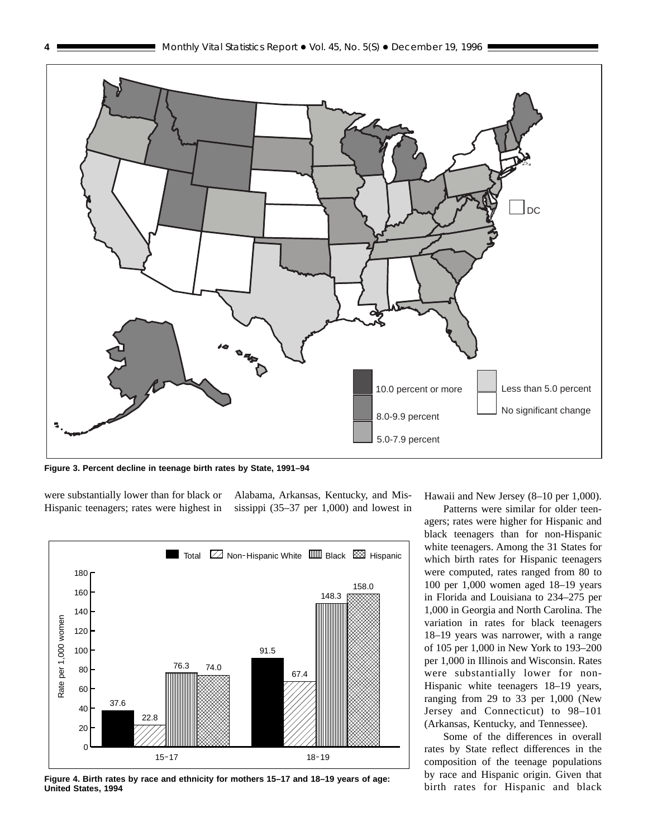

**Figure 3. Percent decline in teenage birth rates by State, 1991–94**

were substantially lower than for black or Hispanic teenagers; rates were highest in Alabama, Arkansas, Kentucky, and Mississippi (35–37 per 1,000) and lowest in



**Figure 4. Birth rates by race and ethnicity for mothers 15–17 and 18–19 years of age: United States, 1994**

Hawaii and New Jersey (8–10 per 1,000).

Patterns were similar for older teenagers; rates were higher for Hispanic and black teenagers than for non-Hispanic white teenagers. Among the 31 States for which birth rates for Hispanic teenagers were computed, rates ranged from 80 to 100 per 1,000 women aged 18–19 years in Florida and Louisiana to 234–275 per 1,000 in Georgia and North Carolina. The variation in rates for black teenagers 18–19 years was narrower, with a range of 105 per 1,000 in New York to 193–200 per 1,000 in Illinois and Wisconsin. Rates were substantially lower for non-Hispanic white teenagers 18–19 years, ranging from 29 to 33 per 1,000 (New Jersey and Connecticut) to 98–101 (Arkansas, Kentucky, and Tennessee).

Some of the differences in overall rates by State reflect differences in the composition of the teenage populations by race and Hispanic origin. Given that birth rates for Hispanic and black

<span id="page-3-0"></span>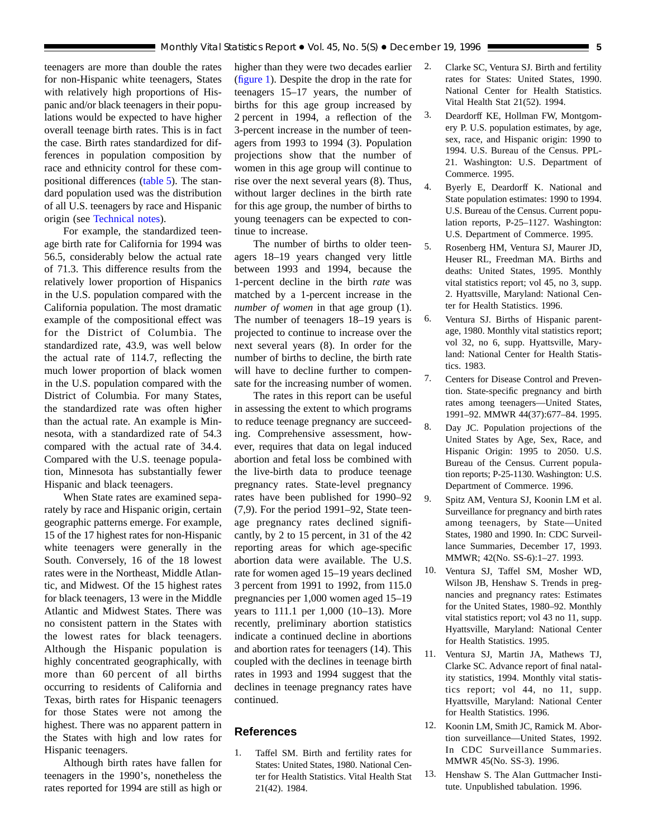<span id="page-4-0"></span>teenagers are more than double the rates for non-Hispanic white teenagers, States with relatively high proportions of Hispanic and/or black teenagers in their populations would be expected to have higher overall teenage birth rates. This is in fact the case. Birth rates standardized for differences in population composition by race and ethnicity control for these compositional differences [\(table 5\)](#page-10-0). The standard population used was the distribution of all U.S. teenagers by race and Hispanic origin (see [Technical notes\)](#page-11-0).

For example, the standardized teenage birth rate for California for 1994 was 56.5, considerably below the actual rate of 71.3. This difference results from the relatively lower proportion of Hispanics in the U.S. population compared with the California population. The most dramatic example of the compositional effect was for the District of Columbia. The standardized rate, 43.9, was well below the actual rate of 114.7, reflecting the much lower proportion of black women in the U.S. population compared with the District of Columbia. For many States, the standardized rate was often higher than the actual rate. An example is Minnesota, with a standardized rate of 54.3 compared with the actual rate of 34.4. Compared with the U.S. teenage population, Minnesota has substantially fewer Hispanic and black teenagers.

When State rates are examined separately by race and Hispanic origin, certain geographic patterns emerge. For example, 15 of the 17 highest rates for non-Hispanic white teenagers were generally in the South. Conversely, 16 of the 18 lowest rates were in the Northeast, Middle Atlantic, and Midwest. Of the 15 highest rates for black teenagers, 13 were in the Middle Atlantic and Midwest States. There was no consistent pattern in the States with the lowest rates for black teenagers. Although the Hispanic population is highly concentrated geographically, with more than 60 percent of all births occurring to residents of California and Texas, birth rates for Hispanic teenagers for those States were not among the highest. There was no apparent pattern in the States with high and low rates for Hispanic teenagers.

Although birth rates have fallen for teenagers in the 1990's, nonetheless the rates reported for 1994 are still as high or higher than they were two decades earlier [\(figure 1\)](#page-1-0). Despite the drop in the rate for teenagers 15–17 years, the number of births for this age group increased by 2 percent in 1994, a reflection of the 3-percent increase in the number of teenagers from 1993 to 1994 (3). Population projections show that the number of women in this age group will continue to rise over the next several years (8). Thus, without larger declines in the birth rate for this age group, the number of births to young teenagers can be expected to continue to increase.

The number of births to older teenagers 18–19 years changed very little between 1993 and 1994, because the 1-percent decline in the birth *rate* was matched by a 1-percent increase in the *number of women* in that age group (1). The number of teenagers 18–19 years is projected to continue to increase over the next several years (8). In order for the number of births to decline, the birth rate will have to decline further to compensate for the increasing number of women.

The rates in this report can be useful in assessing the extent to which programs to reduce teenage pregnancy are succeeding. Comprehensive assessment, however, requires that data on legal induced abortion and fetal loss be combined with the live-birth data to produce teenage pregnancy rates. State-level pregnancy rates have been published for 1990–92 (7,9). For the period 1991–92, State teenage pregnancy rates declined significantly, by 2 to 15 percent, in 31 of the 42 reporting areas for which age-specific abortion data were available. The U.S. rate for women aged 15–19 years declined 3 percent from 1991 to 1992, from 115.0 pregnancies per 1,000 women aged 15–19 years to 111.1 per 1,000 (10–13). More recently, preliminary abortion statistics indicate a continued decline in abortions and abortion rates for teenagers (14). This coupled with the declines in teenage birth rates in 1993 and 1994 suggest that the declines in teenage pregnancy rates have continued.

# **References**

1. Taffel SM. Birth and fertility rates for States: United States, 1980. National Center for Health Statistics. Vital Health Stat 21(42). 1984.

- 2. Clarke SC, Ventura SJ. Birth and fertility rates for States: United States, 1990. National Center for Health Statistics. Vital Health Stat 21(52). 1994.
- 3. Deardorff KE, Hollman FW, Montgomery P. U.S. population estimates, by age, sex, race, and Hispanic origin: 1990 to 1994. U.S. Bureau of the Census. PPL-21. Washington: U.S. Department of Commerce. 1995.
- 4. Byerly E, Deardorff K. National and State population estimates: 1990 to 1994. U.S. Bureau of the Census. Current population reports, P-25–1127. Washington: U.S. Department of Commerce. 1995.
- 5. Rosenberg HM, Ventura SJ, Maurer JD, Heuser RL, Freedman MA. Births and deaths: United States, 1995. Monthly vital statistics report; vol 45, no 3, supp. 2. Hyattsville, Maryland: National Center for Health Statistics. 1996.
- 6. Ventura SJ. Births of Hispanic parentage, 1980. Monthly vital statistics report; vol 32, no 6, supp. Hyattsville, Maryland: National Center for Health Statistics. 1983.
- 7. Centers for Disease Control and Prevention. State-specific pregnancy and birth rates among teenagers—United States, 1991–92. MMWR 44(37):677–84. 1995.
- 8. Day JC. Population projections of the United States by Age, Sex, Race, and Hispanic Origin: 1995 to 2050. U.S. Bureau of the Census. Current population reports; P-25-1130. Washington: U.S. Department of Commerce. 1996.
- 9. Spitz AM, Ventura SJ, Koonin LM et al. Surveillance for pregnancy and birth rates among teenagers, by State—United States, 1980 and 1990. In: CDC Surveillance Summaries, December 17, 1993. MMWR; 42(No. SS-6):1–27. 1993.
- 10. Ventura SJ, Taffel SM, Mosher WD, Wilson JB, Henshaw S. Trends in pregnancies and pregnancy rates: Estimates for the United States, 1980–92. Monthly vital statistics report; vol 43 no 11, supp. Hyattsville, Maryland: National Center for Health Statistics. 1995.
- 11. Ventura SJ, Martin JA, Mathews TJ, Clarke SC. Advance report of final natality statistics, 1994. Monthly vital statistics report; vol 44, no 11, supp. Hyattsville, Maryland: National Center for Health Statistics. 1996.
- 12. Koonin LM, Smith JC, Ramick M. Abortion surveillance—United States, 1992. In CDC Surveillance Summaries. MMWR 45(No. SS-3). 1996.
- 13. Henshaw S. The Alan Guttmacher Institute. Unpublished tabulation. 1996.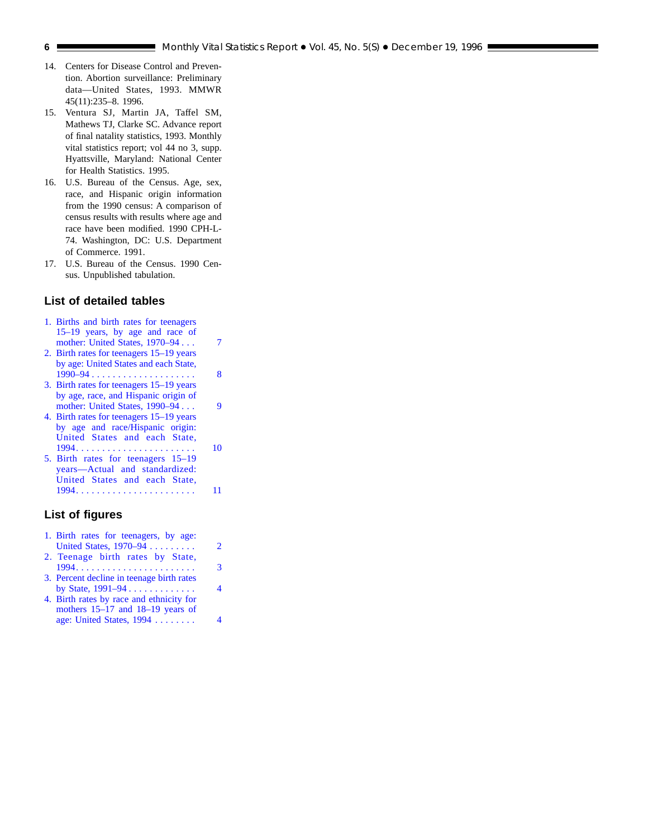- 14. Centers for Disease Control and Prevention. Abortion surveillance: Preliminary data—United States, 1993. MMWR 45(11):235–8. 1996.
- 15. Ventura SJ, Martin JA, Taffel SM, Mathews TJ, Clarke SC. Advance report of final natality statistics, 1993. Monthly vital statistics report; vol 44 no 3, supp. Hyattsville, Maryland: National Center for Health Statistics. 1995.
- 16. U.S. Bureau of the Census. Age, sex, race, and Hispanic origin information from the 1990 census: A comparison of census results with results where age and race have been modified. 1990 CPH-L-74. Washington, DC: U.S. Department of Commerce. 1991.
- 17. U.S. Bureau of the Census. 1990 Census. Unpublished tabulation.

#### **List of detailed tables**

- [1. Births and birth rates for teenagers](#page-6-0) 15–19 years, by age and race of mother: United States, 1970–94 . . . 7 [2. Birth rates for teenagers 15–19 years](#page-7-0)
- by age: United States and each State, 1990–94 .................... 8
- [3. Birth rates for teenagers 15–19 years](#page-8-0) by age, race, and Hispanic origin of mother: United States, 1990–94 . . . 9
- [4. Birth rates for teenagers 15–19 years](#page-9-0) by age and race/Hispanic origin: United States and each State, 1994. . . . . . . . . . . . . . . . . . . . . . . 10
- 5. Birth rates for teenagers 15–19 years—Actual and standardized: United States and each State, [1994. . . . . . . . . . . . . . . . . . . . . . . 11](#page-10-0)

## **List of figures**

- [1. Birth rates for teenagers, by age:](#page-1-0) United States, 1970–94 . . . . . . . . . . . 2
- [2. Teenage birth rates by State,](#page-2-0) 1994....................... 3
- [3. Percent decline in teenage birth rates](#page-3-0) by State, 1991–94 ............. 4
- [4. Birth rates by race and ethnicity for](#page-3-0) mothers 15–17 and 18–19 years of age: United States, 1994 ........ 4

<span id="page-5-0"></span>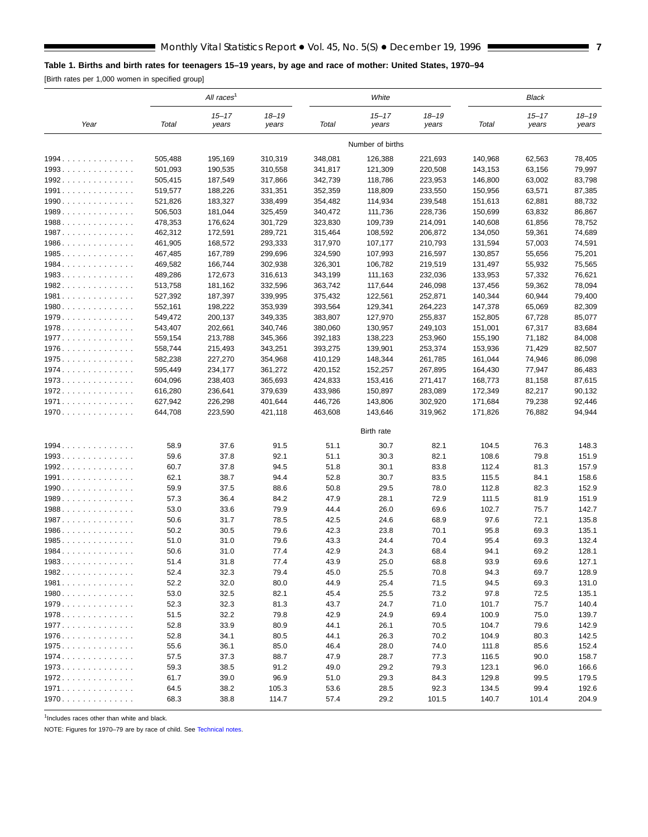#### <span id="page-6-0"></span>**Table 1. Births and birth rates for teenagers 15–19 years, by age and race of mother: United States, 1970–94**

[Birth rates per 1,000 women in specified group]

|         |         | All races <sup>1</sup> |                    |         | White              |                    |         | <b>Black</b>       |                    |
|---------|---------|------------------------|--------------------|---------|--------------------|--------------------|---------|--------------------|--------------------|
| Year    | Total   | $15 - 17$<br>years     | $18 - 19$<br>years | Total   | $15 - 17$<br>years | $18 - 19$<br>years | Total   | $15 - 17$<br>years | $18 - 19$<br>years |
|         |         |                        |                    |         | Number of births   |                    |         |                    |                    |
| $1994.$ | 505,488 | 195,169                | 310,319            | 348,081 | 126,388            | 221,693            | 140,968 | 62,563             | 78,405             |
| 1993.   | 501,093 | 190,535                | 310,558            | 341,817 | 121,309            | 220,508            | 143,153 | 63,156             | 79,997             |
| 1992.   | 505,415 | 187,549                | 317,866            | 342,739 | 118,786            | 223,953            | 146,800 | 63,002             | 83,798             |
| 1991.   | 519,577 | 188,226                | 331,351            | 352,359 | 118,809            | 233,550            | 150,956 | 63,571             | 87,385             |
| 1990.   | 521,826 | 183,327                | 338,499            | 354,482 | 114,934            | 239,548            | 151,613 | 62,881             | 88,732             |
| 1989.   | 506,503 | 181,044                | 325,459            | 340,472 | 111,736            | 228,736            | 150,699 | 63,832             | 86,867             |
| 1988    | 478,353 | 176,624                | 301,729            | 323,830 | 109,739            | 214,091            | 140,608 | 61,856             | 78,752             |
| 1987.   | 462,312 | 172,591                | 289,721            | 315,464 | 108,592            | 206,872            | 134,050 | 59,361             | 74,689             |
| 1986.   | 461,905 | 168,572                | 293,333            | 317,970 | 107,177            | 210,793            | 131,594 | 57,003             | 74,591             |
| 1985.   | 467,485 | 167,789                | 299,696            | 324,590 | 107,993            | 216,597            | 130,857 | 55,656             | 75,201             |
| 1984.   | 469,582 | 166,744                | 302,938            | 326,301 | 106,782            | 219,519            | 131,497 | 55,932             | 75,565             |
| 1983.   | 489,286 | 172,673                | 316,613            | 343,199 | 111,163            | 232,036            | 133,953 | 57,332             | 76,621             |
| 1982.   | 513,758 | 181,162                | 332,596            | 363,742 | 117,644            | 246,098            | 137,456 | 59,362             | 78,094             |
| 1981.   | 527,392 | 187,397                | 339,995            | 375,432 | 122,561            | 252,871            | 140,344 | 60,944             | 79,400             |
| 1980    | 552,161 | 198,222                | 353,939            | 393,564 | 129,341            | 264,223            | 147,378 | 65,069             | 82,309             |
| 1979.   | 549,472 | 200,137                | 349,335            | 383,807 | 127,970            | 255,837            | 152,805 | 67,728             | 85,077             |
| 1978.   | 543,407 | 202,661                | 340,746            | 380,060 | 130,957            | 249,103            | 151,001 | 67,317             | 83,684             |
| 1977.   | 559,154 | 213,788                | 345,366            | 392,183 | 138,223            | 253,960            | 155,190 | 71,182             | 84,008             |
| 1976.   | 558,744 | 215,493                | 343,251            | 393,275 | 139,901            | 253,374            | 153,936 | 71,429             | 82,507             |
| 1975.   | 582,238 | 227,270                | 354,968            | 410,129 | 148,344            | 261,785            | 161,044 | 74,946             | 86,098             |
| $1974.$ | 595,449 | 234,177                | 361,272            | 420,152 | 152,257            | 267,895            | 164,430 | 77,947             | 86,483             |
| 1973.   | 604,096 | 238,403                | 365,693            | 424,833 | 153,416            | 271,417            | 168,773 | 81,158             | 87,615             |
| 1972.   | 616,280 | 236,641                | 379,639            | 433,986 | 150,897            | 283,089            | 172,349 | 82,217             | 90,132             |
| 1971.   | 627,942 | 226,298                | 401,644            | 446,726 | 143,806            | 302,920            | 171,684 | 79,238             | 92,446             |
| 1970.   | 644,708 | 223,590                | 421,118            | 463,608 | 143,646            | 319,962            | 171,826 | 76,882             | 94,944             |
|         |         |                        |                    |         | Birth rate         |                    |         |                    |                    |
| 1994.   | 58.9    | 37.6                   | 91.5               | 51.1    | 30.7               | 82.1               | 104.5   | 76.3               | 148.3              |
| 1993.   | 59.6    | 37.8                   | 92.1               | 51.1    | 30.3               | 82.1               | 108.6   | 79.8               | 151.9              |
| 1992.   | 60.7    | 37.8                   | 94.5               | 51.8    | 30.1               | 83.8               | 112.4   | 81.3               | 157.9              |
| 1991.   | 62.1    | 38.7                   | 94.4               | 52.8    | 30.7               | 83.5               | 115.5   | 84.1               | 158.6              |
| 1990.   | 59.9    | 37.5                   | 88.6               | 50.8    | 29.5               | 78.0               | 112.8   | 82.3               | 152.9              |
| $1989$  | 57.3    | 36.4                   | 84.2               | 47.9    | 28.1               | 72.9               | 111.5   | 81.9               | 151.9              |
| 1988.   | 53.0    | 33.6                   | 79.9               | 44.4    | 26.0               | 69.6               | 102.7   | 75.7               | 142.7              |
| 1987    | 50.6    | 31.7                   | 78.5               | 42.5    | 24.6               | 68.9               | 97.6    | 72.1               | 135.8              |
| 1986.   | 50.2    | 30.5                   | 79.6               | 42.3    | 23.8               | 70.1               | 95.8    | 69.3               | 135.1              |
| 1985.   | 51.0    | 31.0                   | 79.6               | 43.3    | 24.4               | 70.4               | 95.4    | 69.3               | 132.4              |
| 1984.   | 50.6    | 31.0                   | 77.4               | 42.9    | 24.3               | 68.4               | 94.1    | 69.2               | 128.1              |
| 1983    | 51.4    | 31.8                   | 77.4               | 43.9    | 25.0               | 68.8               | 93.9    | 69.6               | 127.1              |
| 1982.   | 52.4    | 32.3                   | 79.4               | 45.0    | 25.5               | 70.8               | 94.3    | 69.7               | 128.9              |
| 1981.   | 52.2    | 32.0                   | 80.0               | 44.9    | 25.4               | 71.5               | 94.5    | 69.3               | 131.0              |
| 1980    | 53.0    | 32.5                   | 82.1               | 45.4    | 25.5               | 73.2               | 97.8    | 72.5               | 135.1              |
| 1979.   | 52.3    | 32.3                   | 81.3               | 43.7    | 24.7               | 71.0               | 101.7   | 75.7               | 140.4              |
| 1978.   | 51.5    | 32.2                   | 79.8               | 42.9    | 24.9               | 69.4               | 100.9   | 75.0               | 139.7              |
| 1977    | 52.8    | 33.9                   | 80.9               | 44.1    | 26.1               | 70.5               | 104.7   | 79.6               | 142.9              |
| 1976.   | 52.8    | 34.1                   | 80.5               | 44.1    | 26.3               | 70.2               | 104.9   | 80.3               | 142.5              |
| 1975    | 55.6    | 36.1                   | 85.0               | 46.4    | 28.0               | 74.0               | 111.8   | 85.6               | 152.4              |
| 1974    | 57.5    | 37.3                   | 88.7               | 47.9    | 28.7               | 77.3               | 116.5   | 90.0               | 158.7              |
| 1973.   | 59.3    | 38.5                   | 91.2               | 49.0    | 29.2               | 79.3               | 123.1   | 96.0               | 166.6              |
| 1972.   | 61.7    | 39.0                   | 96.9               | 51.0    | 29.3               | 84.3               | 129.8   | 99.5               | 179.5              |
| 1971.   | 64.5    | 38.2                   | 105.3              | 53.6    | 28.5               | 92.3               | 134.5   | 99.4               | 192.6              |
| 1970.   | 68.3    | 38.8                   | 114.7              | 57.4    | 29.2               | 101.5              | 140.7   | 101.4              | 204.9              |

 $<sup>1</sup>$ Includes races other than white and black.</sup>

NOTE: Figures for 1970–79 are by race of child. See [Technical notes.](#page-11-0)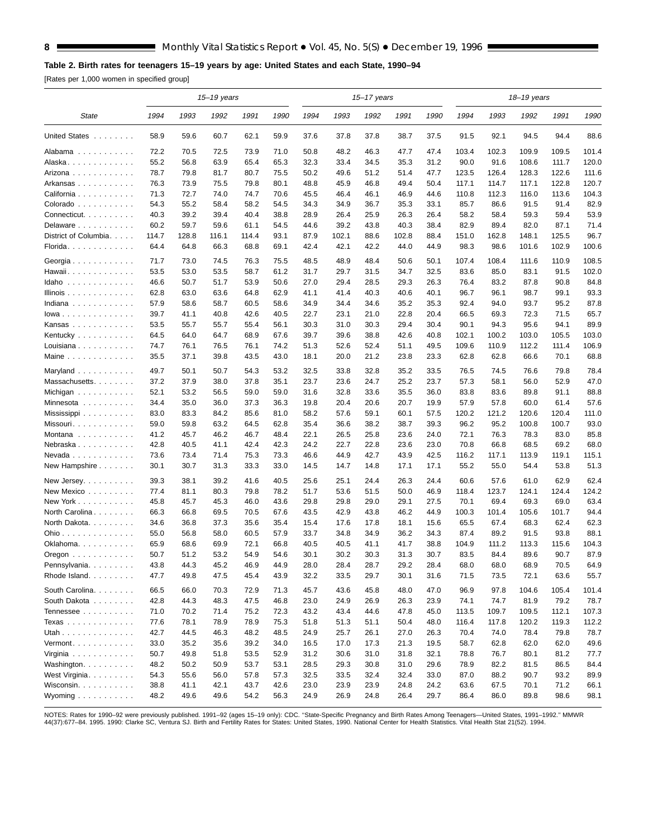#### <span id="page-7-0"></span>**Table 2. Birth rates for teenagers 15–19 years by age: United States and each State, 1990–94**

[Rates per 1,000 women in specified group]

|                                                   |              |              | $15 - 19$ years |              |              |              |              | $15 - 17$ years |              |              | 18-19 years  |              |              |              |              |
|---------------------------------------------------|--------------|--------------|-----------------|--------------|--------------|--------------|--------------|-----------------|--------------|--------------|--------------|--------------|--------------|--------------|--------------|
| <b>State</b>                                      | 1994         | 1993         | 1992            | 1991         | 1990         | 1994         | 1993         | 1992            | 1991         | 1990         | 1994         | 1993         | 1992         | 1991         | 1990         |
| United States                                     | 58.9         | 59.6         | 60.7            | 62.1         | 59.9         | 37.6         | 37.8         | 37.8            | 38.7         | 37.5         | 91.5         | 92.1         | 94.5         | 94.4         | 88.6         |
| Alabama                                           | 72.2         | 70.5         | 72.5            | 73.9         | 71.0         | 50.8         | 48.2         | 46.3            | 47.7         | 47.4         | 103.4        | 102.3        | 109.9        | 109.5        | 101.4        |
| Alaska.                                           | 55.2         | 56.8         | 63.9            | 65.4         | 65.3         | 32.3         | 33.4         | 34.5            | 35.3         | 31.2         | 90.0         | 91.6         | 108.6        | 111.7        | 120.0        |
| Arizona                                           | 78.7         | 79.8         | 81.7            | 80.7         | 75.5         | 50.2         | 49.6         | 51.2            | 51.4         | 47.7         | 123.5        | 126.4        | 128.3        | 122.6        | 111.6        |
| Arkansas                                          | 76.3         | 73.9         | 75.5            | 79.8         | 80.1         | 48.8         | 45.9         | 46.8            | 49.4         | 50.4         | 117.1        | 114.7        | 117.1        | 122.8        | 120.7        |
| California                                        | 71.3         | 72.7         | 74.0            | 74.7         | 70.6         | 45.5         | 46.4         | 46.1            | 46.9         | 44.6         | 110.8        | 112.3        | 116.0        | 113.6        | 104.3        |
| Colorado                                          | 54.3         | 55.2         | 58.4            | 58.2         | 54.5         | 34.3         | 34.9         | 36.7            | 35.3         | 33.1         | 85.7         | 86.6         | 91.5         | 91.4         | 82.9         |
| Connecticut.                                      | 40.3         | 39.2         | 39.4            | 40.4         | 38.8         | 28.9         | 26.4         | 25.9            | 26.3         | 26.4         | 58.2         | 58.4         | 59.3         | 59.4         | 53.9         |
| Delaware                                          | 60.2         | 59.7         | 59.6            | 61.1         | 54.5         | 44.6         | 39.2         | 43.8            | 40.3         | 38.4         | 82.9         | 89.4         | 82.0         | 87.1         | 71.4         |
| District of Columbia.                             | 114.7        | 128.8        | 116.1           | 114.4        | 93.1         | 87.9         | 102.1        | 88.6            | 102.8        | 88.4         | 151.0        | 162.8        | 148.1        | 125.5        | 96.7         |
| Florida.                                          | 64.4         | 64.8         | 66.3            | 68.8         | 69.1         | 42.4         | 42.1         | 42.2            | 44.0         | 44.9         | 98.3         | 98.6         | 101.6        | 102.9        | 100.6        |
| Georgia $\ldots$ , $\ldots$ , $\ldots$ , $\ldots$ | 71.7         | 73.0         | 74.5            | 76.3         | 75.5         | 48.5         | 48.9         | 48.4            | 50.6         | 50.1         | 107.4        | 108.4        | 111.6        | 110.9        | 108.5        |
| Hawaii.                                           | 53.5         | 53.0         | 53.5            | 58.7         | 61.2         | 31.7         | 29.7         | 31.5            | 34.7         | 32.5         | 83.6         | 85.0         | 83.1         | 91.5         | 102.0        |
| Idaho                                             | 46.6         | 50.7         | 51.7            | 53.9         | 50.6         | 27.0         | 29.4         | 28.5            | 29.3         | 26.3         | 76.4         | 83.2         | 87.8         | 90.8         | 84.8         |
| Illinois                                          | 62.8         | 63.0         | 63.6<br>58.7    | 64.8         | 62.9<br>58.6 | 41.1         | 41.4         | 40.3            | 40.6         | 40.1         | 96.7<br>92.4 | 96.1         | 98.7<br>93.7 | 99.1<br>95.2 | 93.3<br>87.8 |
| Indiana                                           | 57.9<br>39.7 | 58.6<br>41.1 | 40.8            | 60.5<br>42.6 | 40.5         | 34.9<br>22.7 | 34.4<br>23.1 | 34.6<br>21.0    | 35.2<br>22.8 | 35.3<br>20.4 | 66.5         | 94.0<br>69.3 | 72.3         | 71.5         | 65.7         |
| $lowa \ldots \ldots \ldots$<br>Kansas             | 53.5         | 55.7         | 55.7            | 55.4         | 56.1         | 30.3         | 31.0         | 30.3            | 29.4         | 30.4         | 90.1         | 94.3         | 95.6         | 94.1         | 89.9         |
| Kentucky                                          | 64.5         | 64.0         | 64.7            | 68.9         | 67.6         | 39.7         | 39.6         | 38.8            | 42.6         | 40.8         | 102.1        | 100.2        | 103.0        | 105.5        | 103.0        |
| Louisiana                                         | 74.7         | 76.1         | 76.5            | 76.1         | 74.2         | 51.3         | 52.6         | 52.4            | 51.1         | 49.5         | 109.6        | 110.9        | 112.2        | 111.4        | 106.9        |
| Maine                                             | 35.5         | 37.1         | 39.8            | 43.5         | 43.0         | 18.1         | 20.0         | 21.2            | 23.8         | 23.3         | 62.8         | 62.8         | 66.6         | 70.1         | 68.8         |
| Maryland                                          | 49.7         | 50.1         | 50.7            | 54.3         | 53.2         | 32.5         | 33.8         | 32.8            | 35.2         | 33.5         | 76.5         | 74.5         | 76.6         | 79.8         | 78.4         |
| Massachusetts.                                    | 37.2         | 37.9         | 38.0            | 37.8         | 35.1         | 23.7         | 23.6         | 24.7            | 25.2         | 23.7         | 57.3         | 58.1         | 56.0         | 52.9         | 47.0         |
| Michigan                                          | 52.1         | 53.2         | 56.5            | 59.0         | 59.0         | 31.6         | 32.8         | 33.6            | 35.5         | 36.0         | 83.8         | 83.6         | 89.8         | 91.1         | 88.8         |
| Minnesota                                         | 34.4         | 35.0         | 36.0            | 37.3         | 36.3         | 19.8         | 20.4         | 20.6            | 20.7         | 19.9         | 57.9         | 57.8         | 60.0         | 61.4         | 57.6         |
| Mississippi                                       | 83.0         | 83.3         | 84.2            | 85.6         | 81.0         | 58.2         | 57.6         | 59.1            | 60.1         | 57.5         | 120.2        | 121.2        | 120.6        | 120.4        | 111.0        |
| Missouri                                          | 59.0         | 59.8         | 63.2            | 64.5         | 62.8         | 35.4         | 36.6         | 38.2            | 38.7         | 39.3         | 96.2         | 95.2         | 100.8        | 100.7        | 93.0         |
| Montana                                           | 41.2         | 45.7         | 46.2            | 46.7         | 48.4         | 22.1         | 26.5         | 25.8            | 23.6         | 24.0         | 72.1         | 76.3         | 78.3         | 83.0         | 85.8         |
| Nebraska                                          | 42.8         | 40.5         | 41.1            | 42.4         | 42.3         | 24.2         | 22.7         | 22.8            | 23.6         | 23.0         | 70.8         | 66.8         | 68.5         | 69.2         | 68.0         |
| Nevada                                            | 73.6         | 73.4         | 71.4            | 75.3         | 73.3         | 46.6         | 44.9         | 42.7            | 43.9         | 42.5         | 116.2        | 117.1        | 113.9        | 119.1        | 115.1        |
| New Hampshire                                     | 30.1         | 30.7         | 31.3            | 33.3         | 33.0         | 14.5         | 14.7         | 14.8            | 17.1         | 17.1         | 55.2         | 55.0         | 54.4         | 53.8         | 51.3         |
| New Jersey.                                       | 39.3         | 38.1         | 39.2            | 41.6         | 40.5         | 25.6         | 25.1         | 24.4            | 26.3         | 24.4         | 60.6         | 57.6         | 61.0         | 62.9         | 62.4         |
| New Mexico                                        | 77.4         | 81.1         | 80.3            | 79.8         | 78.2         | 51.7         | 53.6         | 51.5            | 50.0         | 46.9         | 118.4        | 123.7        | 124.1        | 124.4        | 124.2        |
| New York                                          | 45.8         | 45.7         | 45.3            | 46.0         | 43.6         | 29.8         | 29.8         | 29.0            | 29.1         | 27.5         | 70.1         | 69.4         | 69.3         | 69.0         | 63.4         |
| North Carolina                                    | 66.3         | 66.8         | 69.5            | 70.5         | 67.6         | 43.5         | 42.9         | 43.8            | 46.2         | 44.9         | 100.3        | 101.4        | 105.6        | 101.7        | 94.4         |
| North Dakota.                                     | 34.6         | 36.8         | 37.3            | 35.6         | 35.4         | 15.4         | 17.6         | 17.8            | 18.1         | 15.6         | 65.5         | 67.4         | 68.3         | 62.4         | 62.3         |
| Ohio                                              | 55.0         | 56.8         | 58.0            | 60.5         | 57.9         | 33.7         | 34.8         | 34.9            | 36.2         | 34.3         | 87.4         | 89.2         | 91.5         | 93.8         | 88.1         |
| Oklahoma.                                         | 65.9         | 68.6         | 69.9            | 72.1         | 66.8         | 40.5         | 40.5         | 41.1            | 41.7         | 38.8         | 104.9        | 111.2        | 113.3        | 115.6        | 104.3        |
| Oregon                                            | 50.7         | 51.2         | 53.2            | 54.9         | 54.6         | 30.1         | 30.2         | 30.3            | 31.3         | 30.7         | 83.5         | 84.4         | 89.6         | 90.7         | 87.9         |
| Pennsylvania<br>Rhode Island.                     | 43.8<br>47.7 | 44.3<br>49.8 | 45.2<br>47.5    | 46.9<br>45.4 | 44.9<br>43.9 | 28.0<br>32.2 | 28.4<br>33.5 | 28.7<br>29.7    | 29.2<br>30.1 | 28.4<br>31.6 | 68.0<br>71.5 | 68.0<br>73.5 | 68.9<br>72.1 | 70.5<br>63.6 | 64.9<br>55.7 |
| South Carolina.                                   | 66.5         | 66.0         | 70.3            | 72.9         | 71.3         | 45.7         | 43.6         | 45.8            | 48.0         | 47.0         | 96.9         | 97.8         | 104.6        | 105.4        | 101.4        |
| South Dakota                                      | 42.8         | 44.3         | 48.3            | 47.5         | 46.8         | 23.0         | 24.9         | 26.9            | 26.3         | 23.9         | 74.1         | 74.7         | 81.9         | 79.2         | 78.7         |
| Tennessee                                         | 71.0         | 70.2         | 71.4            | 75.2         | 72.3         | 43.2         | 43.4         | 44.6            | 47.8         | 45.0         | 113.5        | 109.7        | 109.5        | 112.1        | 107.3        |
| Texas                                             | 77.6         | 78.1         | 78.9            | 78.9         | 75.3         | 51.8         | 51.3         | 51.1            | 50.4         | 48.0         | 116.4        | 117.8        | 120.2        | 119.3        | 112.2        |
| Utah                                              | 42.7         | 44.5         | 46.3            | 48.2         | 48.5         | 24.9         | 25.7         | 26.1            | 27.0         | 26.3         | 70.4         | 74.0         | 78.4         | 79.8         | 78.7         |
| Vermont.                                          | 33.0         | 35.2         | 35.6            | 39.2         | 34.0         | 16.5         | 17.0         | 17.3            | 21.3         | 19.5         | 58.7         | 62.8         | 62.0         | 62.0         | 49.6         |
| Virginia                                          | 50.7         | 49.8         | 51.8            | 53.5         | 52.9         | 31.2         | 30.6         | 31.0            | 31.8         | 32.1         | 78.8         | 76.7         | 80.1         | 81.2         | 77.7         |
| Washington.                                       | 48.2         | 50.2         | 50.9            | 53.7         | 53.1         | 28.5         | 29.3         | 30.8            | 31.0         | 29.6         | 78.9         | 82.2         | 81.5         | 86.5         | 84.4         |
| West Virginia.                                    | 54.3         | 55.6         | 56.0            | 57.8         | 57.3         | 32.5         | 33.5         | 32.4            | 32.4         | 33.0         | 87.0         | 88.2         | 90.7         | 93.2         | 89.9         |
| Wisconsin.                                        | 38.8         | 41.1         | 42.1            | 43.7         | 42.6         | 23.0         | 23.9         | 23.9            | 24.8         | 24.2         | 63.6         | 67.5         | 70.1         | 71.2         | 66.1         |
| Wyoming                                           | 48.2         | 49.6         | 49.6            | 54.2         | 56.3         | 24.9         | 26.9         | 24.8            | 26.4         | 29.7         | 86.4         | 86.0         | 89.8         | 98.6         | 98.1         |

NOTES: Rates for 1990–92 were previously published. 1991–92 (ages 15–19 only): CDC. "State-Specific Pregnancy and Birth Rates Among Teenagers—United States, 1991–1992." MMWR<br>44(37):677–84. 1995. 1990: Clarke SC, Ventura SJ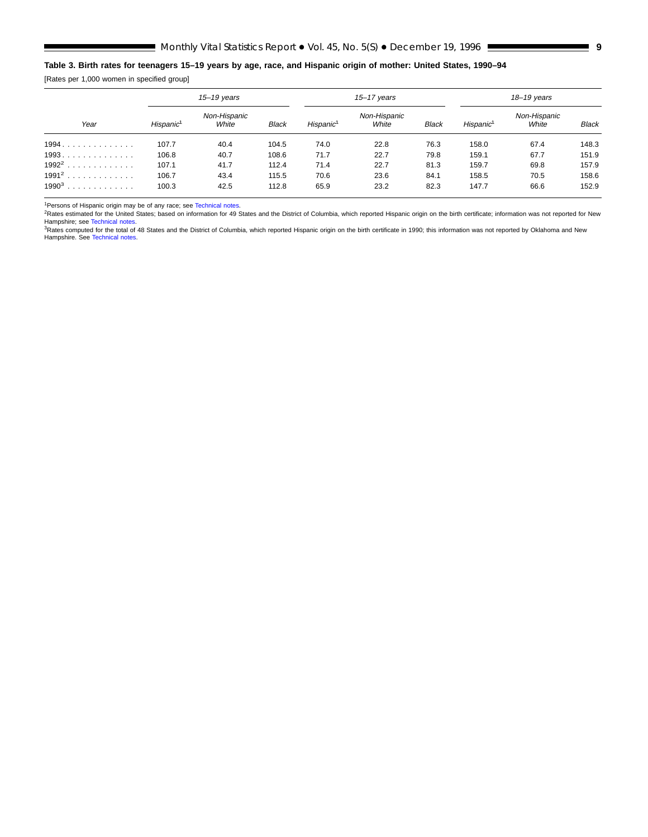#### <span id="page-8-0"></span>**Table 3. Birth rates for teenagers 15–19 years by age, race, and Hispanic origin of mother: United States, 1990–94**

[Rates per 1,000 women in specified group]

| Year     |                       | $15 - 19$ years       |              |                       | $15 - 17$ years       |              | $18 - 19$ years       |                       |       |  |
|----------|-----------------------|-----------------------|--------------|-----------------------|-----------------------|--------------|-----------------------|-----------------------|-------|--|
|          | Hispanic <sup>1</sup> | Non-Hispanic<br>White | <b>Black</b> | Hispanic <sup>1</sup> | Non-Hispanic<br>White | <b>Black</b> | Hispanic <sup>1</sup> | Non-Hispanic<br>White | Black |  |
| 1994.    | 107.7                 | 40.4                  | 104.5        | 74.0                  | 22.8                  | 76.3         | 158.0                 | 67.4                  | 148.3 |  |
| 1993     | 106.8                 | 40.7                  | 108.6        | 71.7                  | 22.7                  | 79.8         | 159.1                 | 67.7                  | 151.9 |  |
| $1992^2$ | 107.1                 | 41.7                  | 112.4        | 71.4                  | 22.7                  | 81.3         | 159.7                 | 69.8                  | 157.9 |  |
| $1991^2$ | 106.7                 | 43.4                  | 115.5        | 70.6                  | 23.6                  | 84.1         | 158.5                 | 70.5                  | 158.6 |  |
| $1990^3$ | 100.3                 | 42.5                  | 112.8        | 65.9                  | 23.2                  | 82.3         | 147.7                 | 66.6                  | 152.9 |  |

<sup>1</sup>Persons of Hispanic origin may be of any race; see [Technical notes.](#page-11-0)

<sup>2</sup>Rates estimated for the United States; based on information for 49 States and the District of Columbia, which reported Hispanic origin on the birth certificate; information was not reported for New<br>Hampshire; see Techni

<sup>3</sup>Rates computed for the total of 48 States and the District of Columbia, which reported Hispanic origin on the birth certificate in 1990; this information was not reported by Oklahoma and New<br>Hampshire. See Technical not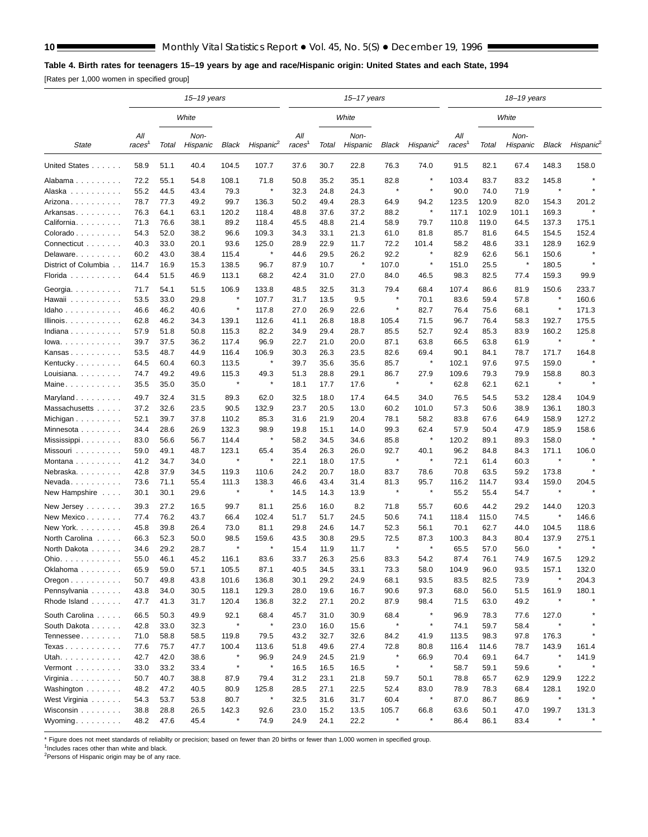#### <span id="page-9-0"></span>**Table 4. Birth rates for teenagers 15–19 years by age and race/Hispanic origin: United States and each State, 1994**

[Rates per 1,000 women in specified group]

|                                |                           |       | $15 - 19$ years  |         |                       |                           |       | 15-17 years      |         |                       |                           | 18-19 years |                  |         |                       |
|--------------------------------|---------------------------|-------|------------------|---------|-----------------------|---------------------------|-------|------------------|---------|-----------------------|---------------------------|-------------|------------------|---------|-----------------------|
|                                |                           |       | White            |         |                       |                           |       | White            |         |                       |                           |             | White            |         |                       |
| State                          | All<br>races <sup>1</sup> | Total | Non-<br>Hispanic | Black   | Hispanic <sup>2</sup> | All<br>races <sup>1</sup> | Total | Non-<br>Hispanic | Black   | Hispanic <sup>2</sup> | All<br>races <sup>1</sup> | Total       | Non-<br>Hispanic | Black   | Hispanic <sup>2</sup> |
| United States                  | 58.9                      | 51.1  | 40.4             | 104.5   | 107.7                 | 37.6                      | 30.7  | 22.8             | 76.3    | 74.0                  | 91.5                      | 82.1        | 67.4             | 148.3   | 158.0                 |
| Alabama                        | 72.2                      | 55.1  | 54.8             | 108.1   | 71.8                  | 50.8                      | 35.2  | 35.1             | 82.8    | ×                     | 103.4                     | 83.7        | 83.2             | 145.8   |                       |
| Alaska                         | 55.2                      | 44.5  | 43.4             | 79.3    | ×                     | 32.3                      | 24.8  | 24.3             | $\star$ | $\pmb{\ast}$          | 90.0                      | 74.0        | 71.9             | $\star$ | $\star$               |
| Arizona                        | 78.7                      | 77.3  | 49.2             | 99.7    | 136.3                 | 50.2                      | 49.4  | 28.3             | 64.9    | 94.2                  | 123.5                     | 120.9       | 82.0             | 154.3   | 201.2                 |
| Arkansas.                      | 76.3                      | 64.1  | 63.1             | 120.2   | 118.4                 | 48.8                      | 37.6  | 37.2             | 88.2    | $\pmb{\ast}$          | 117.1                     | 102.9       | 101.1            | 169.3   |                       |
| California.                    | 71.3                      | 76.6  | 38.1             | 89.2    | 118.4                 | 45.5                      | 48.8  | 21.4             | 58.9    | 79.7                  | 110.8                     | 119.0       | 64.5             | 137.3   | 175.1                 |
| Colorado                       | 54.3                      | 52.0  | 38.2             | 96.6    | 109.3                 | 34.3                      | 33.1  | 21.3             | 61.0    | 81.8                  | 85.7                      | 81.6        | 64.5             | 154.5   | 152.4                 |
| Connecticut                    | 40.3                      | 33.0  | 20.1             | 93.6    | 125.0                 | 28.9                      | 22.9  | 11.7             | 72.2    | 101.4                 | 58.2                      | 48.6        | 33.1             | 128.9   | 162.9                 |
| Delaware.                      | 60.2                      | 43.0  | 38.4             | 115.4   | $\pmb{\ast}$          | 44.6                      | 29.5  | 26.2             | 92.2    | $\star$               | 82.9                      | 62.6        | 56.1             | 150.6   |                       |
| District of Columbia           | 114.7                     | 16.9  | 15.3             | 138.5   | 96.7                  | 87.9                      | 10.7  | $\pmb{\ast}$     | 107.0   | $\star$               | 151.0                     | 25.5        | $\star$          | 180.5   | $\star$               |
| Florida                        | 64.4                      | 51.5  | 46.9             | 113.1   | 68.2                  | 42.4                      | 31.0  | 27.0             | 84.0    | 46.5                  | 98.3                      | 82.5        | 77.4             | 159.3   | 99.9                  |
| Georgia.                       | 71.7                      | 54.1  | 51.5             | 106.9   | 133.8                 | 48.5                      | 32.5  | 31.3             | 79.4    | 68.4                  | 107.4                     | 86.6        | 81.9             | 150.6   | 233.7                 |
| Hawaii                         | 53.5                      | 33.0  | 29.8             | ×       | 107.7                 | 31.7                      | 13.5  | 9.5              | $\star$ | 70.1                  | 83.6                      | 59.4        | 57.8             | $\star$ | 160.6                 |
| Idaho                          | 46.6                      | 46.2  | 40.6             | $\star$ | 117.8                 | 27.0                      | 26.9  | 22.6             | $\star$ | 82.7                  | 76.4                      | 75.6        | 68.1             | $\star$ | 171.3                 |
| Illinois.                      | 62.8                      | 46.2  | 34.3             | 139.1   | 112.6                 | 41.1                      | 26.8  | 18.8             | 105.4   | 71.5                  | 96.7                      | 76.4        | 58.3             | 192.7   | 175.5                 |
| Indiana                        | 57.9                      | 51.8  | 50.8             | 115.3   | 82.2                  | 34.9                      | 29.4  | 28.7             | 85.5    | 52.7                  | 92.4                      | 85.3        | 83.9             | 160.2   | 125.8                 |
| $lowa. \ldots. \ldots. \ldots$ | 39.7                      | 37.5  | 36.2             | 117.4   | 96.9                  | 22.7                      | 21.0  | 20.0             | 87.1    | 63.8                  | 66.5                      | 63.8        | 61.9             | $\star$ |                       |
| Kansas                         | 53.5                      | 48.7  | 44.9             | 116.4   | 106.9                 | 30.3                      | 26.3  | 23.5             | 82.6    | 69.4                  | 90.1                      | 84.1        | 78.7             | 171.7   | 164.8                 |
| Kentucky                       | 64.5                      | 60.4  | 60.3             | 113.5   | $\pmb{\ast}$          | 39.7                      | 35.6  | 35.6             | 85.7    | $\star$               | 102.1                     | 97.6        | 97.5             | 159.0   |                       |
| Louisiana.                     | 74.7                      | 49.2  | 49.6             | 115.3   | 49.3                  | 51.3                      | 28.8  | 29.1             | 86.7    | 27.9                  | 109.6                     | 79.3        | 79.9             | 158.8   | 80.3                  |
| Maine                          | 35.5                      | 35.0  | 35.0             | ×       | $\star$               | 18.1                      | 17.7  | 17.6             | $\star$ | $\pmb{\ast}$          | 62.8                      | 62.1        | 62.1             | $\star$ | $\star$               |
| Maryland                       | 49.7                      | 32.4  | 31.5             | 89.3    | 62.0                  | 32.5                      | 18.0  | 17.4             | 64.5    | 34.0                  | 76.5                      | 54.5        | 53.2             | 128.4   | 104.9                 |
| Massachusetts                  | 37.2                      | 32.6  | 23.5             | 90.5    | 132.9                 | 23.7                      | 20.5  | 13.0             | 60.2    | 101.0                 | 57.3                      | 50.6        | 38.9             | 136.1   | 180.3                 |
| Michigan                       | 52.1                      | 39.7  | 37.8             | 110.2   | 85.3                  | 31.6                      | 21.9  | 20.4             | 78.1    | 58.2                  | 83.8                      | 67.6        | 64.9             | 158.9   | 127.2                 |
| Minnesota                      | 34.4                      | 28.6  | 26.9             | 132.3   | 98.9                  | 19.8                      | 15.1  | 14.0             | 99.3    | 62.4                  | 57.9                      | 50.4        | 47.9             | 185.9   | 158.6                 |
| Mississippi                    | 83.0                      | 56.6  | 56.7             | 114.4   | $\star$               | 58.2                      | 34.5  | 34.6             | 85.8    | $\pmb{\ast}$          | 120.2                     | 89.1        | 89.3             | 158.0   |                       |
| Missouri                       | 59.0                      | 49.1  | 48.7             | 123.1   | 65.4                  | 35.4                      | 26.3  | 26.0             | 92.7    | 40.1                  | 96.2                      | 84.8        | 84.3             | 171.1   | 106.0                 |
| Montana                        | 41.2                      | 34.7  | 34.0             | $\star$ | $\star$               | 22.1                      | 18.0  | 17.5             | $\star$ | $\pmb{\ast}$          | 72.1                      | 61.4        | 60.3             | $\star$ |                       |
| Nebraska.                      | 42.8                      | 37.9  | 34.5             | 119.3   | 110.6                 | 24.2                      | 20.7  | 18.0             | 83.7    | 78.6                  | 70.8                      | 63.5        | 59.2             | 173.8   |                       |
| Nevada                         | 73.6                      | 71.1  | 55.4             | 111.3   | 138.3                 | 46.6                      | 43.4  | 31.4             | 81.3    | 95.7                  | 116.2                     | 114.7       | 93.4             | 159.0   | 204.5                 |
| New Hampshire                  | 30.1                      | 30.1  | 29.6             | $\star$ | $\star$               | 14.5                      | 14.3  | 13.9             | $\star$ | $\star$               | 55.2                      | 55.4        | 54.7             | $\star$ |                       |
| New Jersey                     | 39.3                      | 27.2  | 16.5             | 99.7    | 81.1                  | 25.6                      | 16.0  | 8.2              | 71.8    | 55.7                  | 60.6                      | 44.2        | 29.2             | 144.0   | 120.3                 |
| New Mexico                     | 77.4                      | 76.2  | 43.7             | 66.4    | 102.4                 | 51.7                      | 51.7  | 24.5             | 50.6    | 74.1                  | 118.4                     | 115.0       | 74.5             | $\star$ | 146.6                 |
| New York.                      | 45.8                      | 39.8  | 26.4             | 73.0    | 81.1                  | 29.8                      | 24.6  | 14.7             | 52.3    | 56.1                  | 70.1                      | 62.7        | 44.0             | 104.5   | 118.6                 |
| North Carolina                 | 66.3                      | 52.3  | 50.0             | 98.5    | 159.6                 | 43.5                      | 30.8  | 29.5             | 72.5    | 87.3                  | 100.3                     | 84.3        | 80.4             | 137.9   | 275.1                 |
| North Dakota                   | 34.6                      | 29.2  | 28.7             | ×       | ×                     | 15.4                      | 11.9  | 11.7             | $\star$ | $\star$               | 65.5                      | 57.0        | 56.0             |         | $\star$               |
| Ohio. $\ldots$                 | 55.0                      | 46.1  | 45.2             | 116.1   | 83.6                  | 33.7                      | 26.3  | 25.6             | 83.3    | 54.2                  | 87.4                      | 76.1        | 74.9             | 167.5   | 129.2                 |
| Oklahoma                       | 65.9                      | 59.0  | 57.1             | 105.5   | 87.1                  | 40.5                      | 34.5  | 33.1             | 73.3    | 58.0                  | 104.9                     | 96.0        | 93.5             | 157.1   | 132.0                 |
| Oregon                         | 50.7                      | 49.8  | 43.8             | 101.6   | 136.8                 | 30.1                      | 29.2  | 24.9             | 68.1    | 93.5                  | 83.5                      | 82.5        | 73.9             | $\star$ | 204.3                 |
| Pennsylvania                   | 43.8                      | 34.0  | 30.5             | 118.1   | 129.3                 | 28.0                      | 19.6  | 16.7             | 90.6    | 97.3                  | 68.0                      | 56.0        | 51.5             | 161.9   | 180.1                 |
| Rhode Island                   | 47.7                      | 41.3  | 31.7             | 120.4   | 136.8                 | 32.2                      | 27.1  | 20.2             | 87.9    | 98.4                  | 71.5                      | 63.0        | 49.2             | $\star$ |                       |
| South Carolina                 | 66.5                      | 50.3  | 49.9             | 92.1    | 68.4                  | 45.7                      | 31.0  | 30.9             | 68.4    | $\star$               | 96.9                      | 78.3        | 77.6             | 127.0   |                       |
| South Dakota                   | 42.8                      | 33.0  | 32.3             | $\star$ | $\star$               | 23.0                      | 16.0  | 15.6             | $\star$ | $\pmb{\ast}$          | 74.1                      | 59.7        | 58.4             |         |                       |
| Tennessee                      | 71.0                      | 58.8  | 58.5             | 119.8   | 79.5                  | 43.2                      | 32.7  | 32.6             | 84.2    | 41.9                  | 113.5                     | 98.3        | 97.8             | 176.3   |                       |
| Texas                          | 77.6                      | 75.7  | 47.7             | 100.4   | 113.6                 | 51.8                      | 49.6  | 27.4             | 72.8    | 80.8                  | 116.4                     | 114.6       | 78.7             | 143.9   | 161.4                 |
| Utah.                          | 42.7                      | 42.0  | 38.6             | $\star$ | 96.9                  | 24.9                      | 24.5  | 21.9             | $\star$ | 66.9                  | 70.4                      | 69.1        | 64.7             | $\star$ | 141.9                 |
| Vermont                        | 33.0                      | 33.2  | 33.4             | ×       | $\star$               | 16.5                      | 16.5  | 16.5             | $\star$ | $\star$               | 58.7                      | 59.1        | 59.6             | $\star$ |                       |
| Virginia                       | 50.7                      | 40.7  | 38.8             | 87.9    | 79.4                  | 31.2                      | 23.1  | 21.8             | 59.7    | 50.1                  | 78.8                      | 65.7        | 62.9             | 129.9   | 122.2                 |
| Washington                     | 48.2                      | 47.2  | 40.5             | 80.9    | 125.8                 | 28.5                      | 27.1  | 22.5             | 52.4    | 83.0                  | 78.9                      | 78.3        | 68.4             | 128.1   | 192.0                 |
| West Virginia                  | 54.3                      | 53.7  | 53.8             | 80.7    | $\star$               | 32.5                      | 31.6  | 31.7             | 60.4    | $\star$               | 87.0                      | 86.7        | 86.9             | $\star$ |                       |
| Wisconsin                      | 38.8                      | 28.8  | 26.5             | 142.3   | 92.6                  | 23.0                      | 15.2  | 13.5             | 105.7   | 66.8                  | 63.6                      | 50.1        | 47.0             | 199.7   | 131.3                 |
| Wyoming.                       | 48.2                      | 47.6  | 45.4             | $\star$ | 74.9                  | 24.9                      | 24.1  | 22.2             | $\star$ | $\star$               | 86.4                      | 86.1        | 83.4             | $\star$ |                       |

\* Figure does not meet standards of reliabilty or precision; based on fewer than 20 births or fewer than 1,000 women in specified group.

1Includes races other than white and black.

<sup>2</sup>Persons of Hispanic origin may be of any race.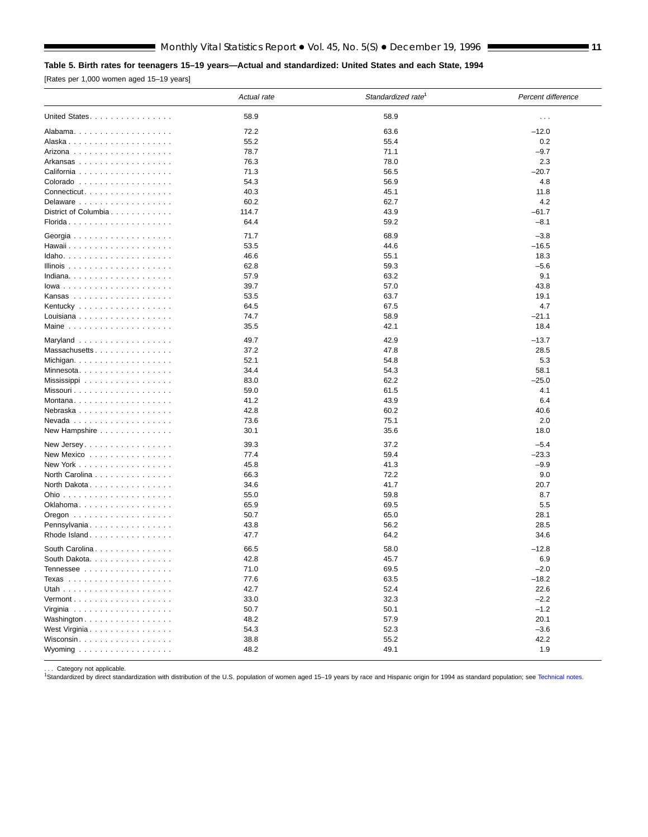#### <span id="page-10-0"></span>**Table 5. Birth rates for teenagers 15–19 years—Actual and standardized: United States and each State, 1994**

[Rates per 1,000 women aged 15–19 years]

|                                                  | Actual rate | Standardized rate <sup>1</sup> | Percent difference   |
|--------------------------------------------------|-------------|--------------------------------|----------------------|
| United States                                    | 58.9        | 58.9                           | $\sim$ $\sim$ $\sim$ |
|                                                  | 72.2        | 63.6                           | $-12.0$              |
|                                                  | 55.2        | 55.4                           | 0.2                  |
|                                                  | 78.7        | 71.1                           | $-9.7$               |
| Arkansas                                         | 76.3        | 78.0                           | 2.3                  |
| California                                       | 71.3        | 56.5                           | $-20.7$              |
| Colorado                                         | 54.3        | 56.9                           | 4.8                  |
| Connecticut                                      | 40.3        | 45.1                           | 11.8                 |
| Delaware                                         | 60.2        | 62.7                           | 4.2                  |
| District of Columbia                             | 114.7       | 43.9                           | -61.7                |
| Florida                                          | 64.4        | 59.2                           | $-8.1$               |
|                                                  | 71.7        | 68.9                           | $-3.8$               |
|                                                  | 53.5        | 44.6                           | $-16.5$              |
|                                                  | 46.6        | 55.1                           | 18.3                 |
| Illinois $\ldots \ldots \ldots \ldots \ldots$    | 62.8        | 59.3                           | $-5.6$               |
| Indiana                                          | 57.9        | 63.2                           | 9.1                  |
| $lowa$                                           | 39.7        | 57.0                           | 43.8                 |
|                                                  | 53.5        | 63.7                           | 19.1                 |
|                                                  | 64.5        | 67.5                           | 4.7                  |
| Louisiana                                        | 74.7        | 58.9                           | $-21.1$              |
| Maine $\ldots \ldots \ldots \ldots \ldots$       | 35.5        | 42.1                           | 18.4                 |
| Maryland                                         | 49.7        | 42.9                           | $-13.7$              |
| Massachusetts                                    | 37.2        | 47.8                           | 28.5                 |
| Michigan. $\ldots$ .                             | 52.1        | 54.8                           | 5.3                  |
|                                                  | 34.4        | 54.3                           | 58.1                 |
| Mississippi $\ldots \ldots \ldots \ldots \ldots$ | 83.0        | 62.2                           | $-25.0$              |
| Missouri                                         | 59.0        | 61.5                           | 4.1                  |
| Montana                                          | 41.2        | 43.9                           | 6.4                  |
| Nebraska                                         | 42.8        | 60.2                           | 40.6                 |
|                                                  | 73.6        | 75.1                           | 2.0                  |
| New Hampshire                                    | 30.1        | 35.6                           | 18.0                 |
| New Jersey                                       | 39.3        | 37.2                           | $-5.4$               |
| New Mexico $\dots\dots\dots\dots\dots\dots$      | 77.4        | 59.4                           | -23.3                |
| New York                                         | 45.8        | 41.3                           | $-9.9$               |
| North Carolina                                   | 66.3        | 72.2                           | 9.0                  |
| North Dakota                                     | 34.6        | 41.7                           | 20.7                 |
|                                                  | 55.0        | 59.8                           | 8.7                  |
| Oklahoma                                         | 65.9        | 69.5                           | 5.5                  |
|                                                  | 50.7        | 65.0                           | 28.1                 |
| Pennsylvania                                     | 43.8        | 56.2                           | 28.5                 |
| Rhode Island                                     | 47.7        | 64.2                           | 34.6                 |
| South Carolina                                   | 66.5        | 58.0                           | $-12.8$              |
| South Dakota.                                    | 42.8        | 45.7                           | 6.9                  |
| Tennessee                                        | 71.0        | 69.5                           | $-2.0$               |
|                                                  | 77.6        | 63.5                           | $-18.2$              |
|                                                  | 42.7        | 52.4                           | 22.6                 |
| $Vermont$                                        | 33.0        | 32.3                           | $-2.2$               |
|                                                  | 50.7        | 50.1                           | $-1.2$               |
| Washington                                       | 48.2        | 57.9                           | 20.1                 |
| West Virginia                                    | 54.3        | 52.3                           | $-3.6$               |
| Wisconsin                                        | 38.8        | 55.2                           | 42.2                 |
| Wyoming $\ldots \ldots \ldots \ldots \ldots$     | 48.2        | 49.1                           | 1.9                  |

. . . Category not applicable.<br><sup>1</sup>Standardized by direct standardization with distribution of the U.S. population of women aged 15–19 years by race and Hispanic origin for 1994 as standard population; see [Technical notes.](#page-11-0)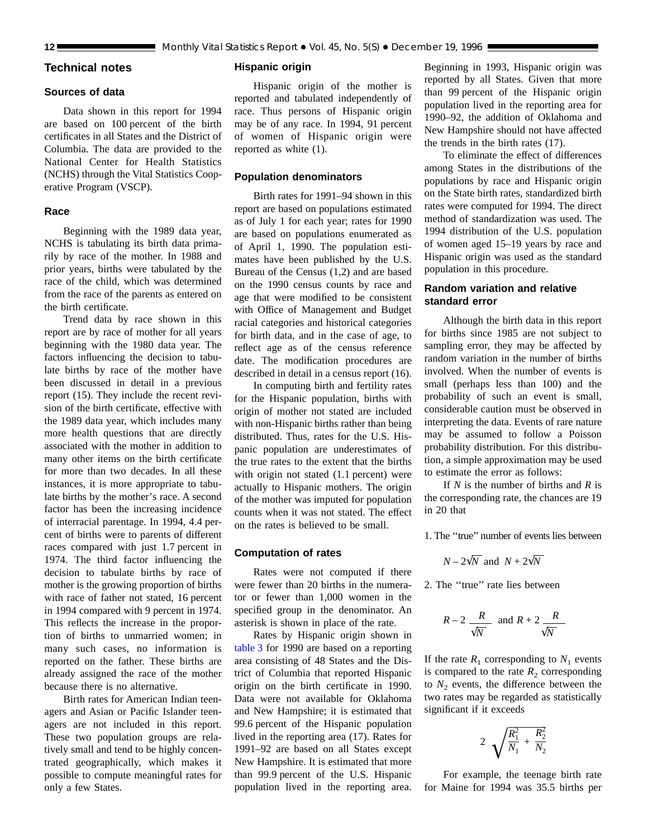## <span id="page-11-0"></span>**Technical notes**

#### **Sources of data**

Data shown in this report for 1994 are based on 100 percent of the birth certificates in all States and the District of Columbia. The data are provided to the National Center for Health Statistics (NCHS) through the Vital Statistics Cooperative Program (VSCP).

#### **Race**

Beginning with the 1989 data year, NCHS is tabulating its birth data primarily by race of the mother. In 1988 and prior years, births were tabulated by the race of the child, which was determined from the race of the parents as entered on the birth certificate.

Trend data by race shown in this report are by race of mother for all years beginning with the 1980 data year. The factors influencing the decision to tabulate births by race of the mother have been discussed in detail in a previous report (15). They include the recent revision of the birth certificate, effective with the 1989 data year, which includes many more health questions that are directly associated with the mother in addition to many other items on the birth certificate for more than two decades. In all these instances, it is more appropriate to tabulate births by the mother's race. A second factor has been the increasing incidence of interracial parentage. In 1994, 4.4 percent of births were to parents of different races compared with just 1.7 percent in 1974. The third factor influencing the decision to tabulate births by race of mother is the growing proportion of births with race of father not stated, 16 percent in 1994 compared with 9 percent in 1974. This reflects the increase in the proportion of births to unmarried women; in many such cases, no information is reported on the father. These births are already assigned the race of the mother because there is no alternative.

Birth rates for American Indian teenagers and Asian or Pacific Islander teenagers are not included in this report. These two population groups are relatively small and tend to be highly concentrated geographically, which makes it possible to compute meaningful rates for only a few States.

#### **Hispanic origin**

Hispanic origin of the mother is reported and tabulated independently of race. Thus persons of Hispanic origin may be of any race. In 1994, 91 percent of women of Hispanic origin were reported as white (1).

#### **Population denominators**

Birth rates for 1991–94 shown in this report are based on populations estimated as of July 1 for each year; rates for 1990 are based on populations enumerated as of April 1, 1990. The population estimates have been published by the U.S. Bureau of the Census (1,2) and are based on the 1990 census counts by race and age that were modified to be consistent with Office of Management and Budget racial categories and historical categories for birth data, and in the case of age, to reflect age as of the census reference date. The modification procedures are described in detail in a census report (16).

In computing birth and fertility rates for the Hispanic population, births with origin of mother not stated are included with non-Hispanic births rather than being distributed. Thus, rates for the U.S. Hispanic population are underestimates of the true rates to the extent that the births with origin not stated  $(1.1)$  percent) were actually to Hispanic mothers. The origin of the mother was imputed for population counts when it was not stated. The effect on the rates is believed to be small.

#### **Computation of rates**

Rates were not computed if there were fewer than 20 births in the numerator or fewer than 1,000 women in the specified group in the denominator. An asterisk is shown in place of the rate.

Rates by Hispanic origin shown in [table 3](#page-8-0) for 1990 are based on a reporting area consisting of 48 States and the District of Columbia that reported Hispanic origin on the birth certificate in 1990. Data were not available for Oklahoma and New Hampshire; it is estimated that 99.6 percent of the Hispanic population lived in the reporting area (17). Rates for 1991–92 are based on all States except New Hampshire. It is estimated that more than 99.9 percent of the U.S. Hispanic population lived in the reporting area. Beginning in 1993, Hispanic origin was reported by all States. Given that more than 99 percent of the Hispanic origin population lived in the reporting area for 1990–92, the addition of Oklahoma and New Hampshire should not have affected the trends in the birth rates (17).

To eliminate the effect of differences among States in the distributions of the populations by race and Hispanic origin on the State birth rates, standardized birth rates were computed for 1994. The direct method of standardization was used. The 1994 distribution of the U.S. population of women aged 15–19 years by race and Hispanic origin was used as the standard population in this procedure.

#### **Random variation and relative standard error**

Although the birth data in this report for births since 1985 are not subject to sampling error, they may be affected by random variation in the number of births involved. When the number of events is small (perhaps less than 100) and the probability of such an event is small, considerable caution must be observed in interpreting the data. Events of rare nature may be assumed to follow a Poisson probability distribution. For this distribution, a simple approximation may be used to estimate the error as follows:

If *N* is the number of births and *R* is the corresponding rate, the chances are 19 in 20 that

1. The ''true'' number of events lies between

$$
N-2\sqrt{N}
$$
 and  $N+2\sqrt{N}$ 

2. The ''true'' rate lies between

$$
R-2\frac{R}{\sqrt{N}} \text{ and } R+2\frac{R}{\sqrt{N}}
$$

If the rate  $R_1$  corresponding to  $N_1$  events is compared to the rate  $R_2$  corresponding to  $N_2$  events, the difference between the two rates may be regarded as statistically significant if it exceeds

$$
2\sqrt{\frac{R_1^2}{N_1}+\frac{R_2^2}{N_2}}
$$

For example, the teenage birth rate for Maine for 1994 was 35.5 births per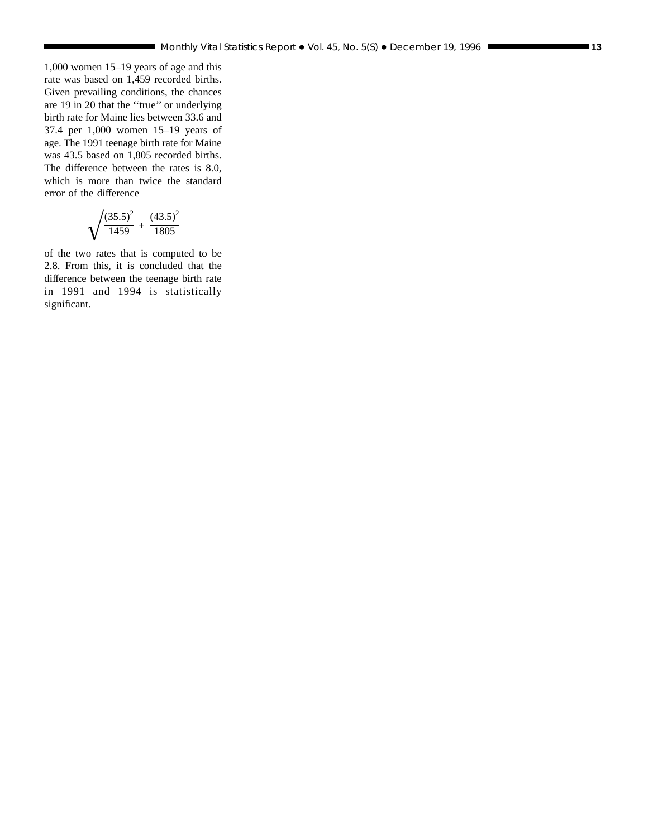1,000 women 15–19 years of age and this rate was based on 1,459 recorded births. Given prevailing conditions, the chances are 19 in 20 that the ''true'' or underlying birth rate for Maine lies between 33.6 and 37.4 per 1,000 women 15–19 years of age. The 1991 teenage birth rate for Maine was 43.5 based on 1,805 recorded births. The difference between the rates is 8.0, which is more than twice the standard error of the difference

$$
\sqrt{\frac{\left(35.5\right)^2}{1459}+\frac{\left(43.5\right)^2}{1805}}
$$

of the two rates that is computed to be 2.8. From this, it is concluded that the difference between the teenage birth rate in 1991 and 1994 is statistically significant.